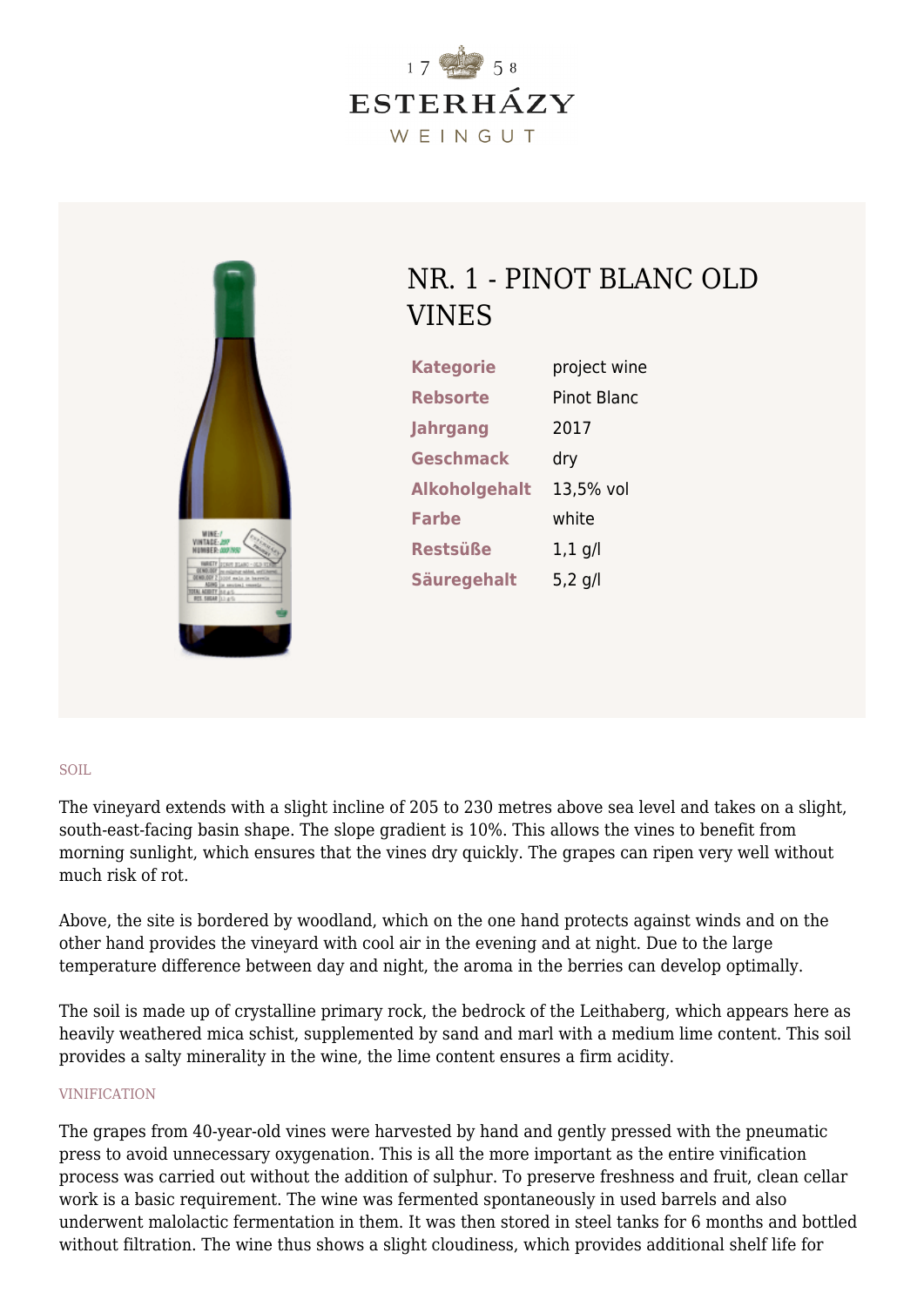



## NR. 1 - PINOT BLANC OLD VINES

| <b>Kategorie</b>     | project wine |
|----------------------|--------------|
| Rebsorte             | Pinot Blanc  |
| <b>Jahrgang</b>      | 2017         |
| <b>Geschmack</b>     | dry          |
| <b>Alkoholgehalt</b> | 13,5% vol    |
| <b>Farbe</b>         | white        |
| <b>Restsüße</b>      | $1,1$ g/l    |
| <b>Säuregehalt</b>   | 5,2 $q/l$    |

## SOIL

The vineyard extends with a slight incline of 205 to 230 metres above sea level and takes on a slight, south-east-facing basin shape. The slope gradient is 10%. This allows the vines to benefit from morning sunlight, which ensures that the vines dry quickly. The grapes can ripen very well without much risk of rot.

Above, the site is bordered by woodland, which on the one hand protects against winds and on the other hand provides the vineyard with cool air in the evening and at night. Due to the large temperature difference between day and night, the aroma in the berries can develop optimally.

The soil is made up of crystalline primary rock, the bedrock of the Leithaberg, which appears here as heavily weathered mica schist, supplemented by sand and marl with a medium lime content. This soil provides a salty minerality in the wine, the lime content ensures a firm acidity.

## VINIFICATION

The grapes from 40-year-old vines were harvested by hand and gently pressed with the pneumatic press to avoid unnecessary oxygenation. This is all the more important as the entire vinification process was carried out without the addition of sulphur. To preserve freshness and fruit, clean cellar work is a basic requirement. The wine was fermented spontaneously in used barrels and also underwent malolactic fermentation in them. It was then stored in steel tanks for 6 months and bottled without filtration. The wine thus shows a slight cloudiness, which provides additional shelf life for